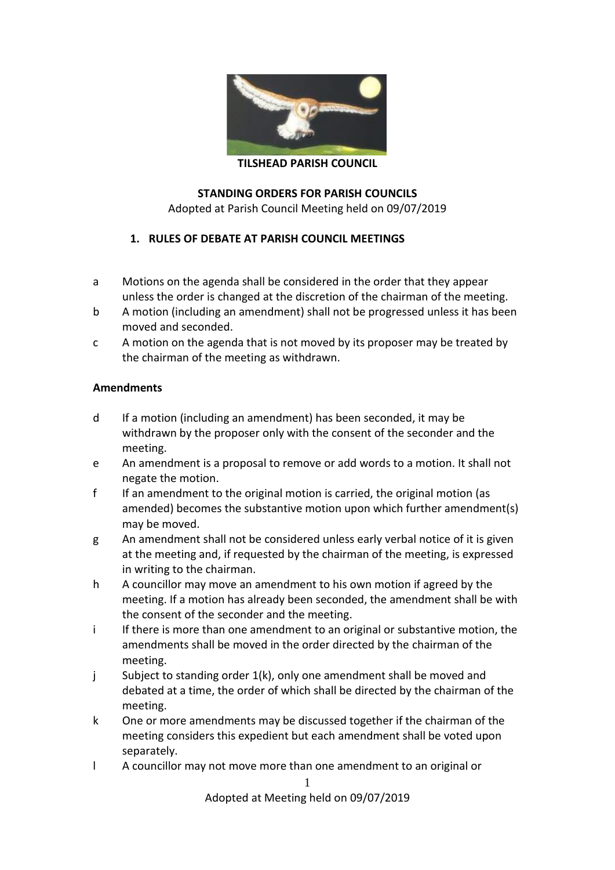

**TILSHEAD PARISH COUNCIL**

### **STANDING ORDERS FOR PARISH COUNCILS**

Adopted at Parish Council Meeting held on 09/07/2019

### **1. RULES OF DEBATE AT PARISH COUNCIL MEETINGS**

- a Motions on the agenda shall be considered in the order that they appear unless the order is changed at the discretion of the chairman of the meeting.
- b A motion (including an amendment) shall not be progressed unless it has been moved and seconded.
- c A motion on the agenda that is not moved by its proposer may be treated by the chairman of the meeting as withdrawn.

#### **Amendments**

- d If a motion (including an amendment) has been seconded, it may be withdrawn by the proposer only with the consent of the seconder and the meeting.
- e An amendment is a proposal to remove or add words to a motion. It shall not negate the motion.
- f If an amendment to the original motion is carried, the original motion (as amended) becomes the substantive motion upon which further amendment(s) may be moved.
- g An amendment shall not be considered unless early verbal notice of it is given at the meeting and, if requested by the chairman of the meeting, is expressed in writing to the chairman.
- h A councillor may move an amendment to his own motion if agreed by the meeting. If a motion has already been seconded, the amendment shall be with the consent of the seconder and the meeting.
- i If there is more than one amendment to an original or substantive motion, the amendments shall be moved in the order directed by the chairman of the meeting.
- j Subject to standing order 1(k), only one amendment shall be moved and debated at a time, the order of which shall be directed by the chairman of the meeting.
- k One or more amendments may be discussed together if the chairman of the meeting considers this expedient but each amendment shall be voted upon separately.
- l A councillor may not move more than one amendment to an original or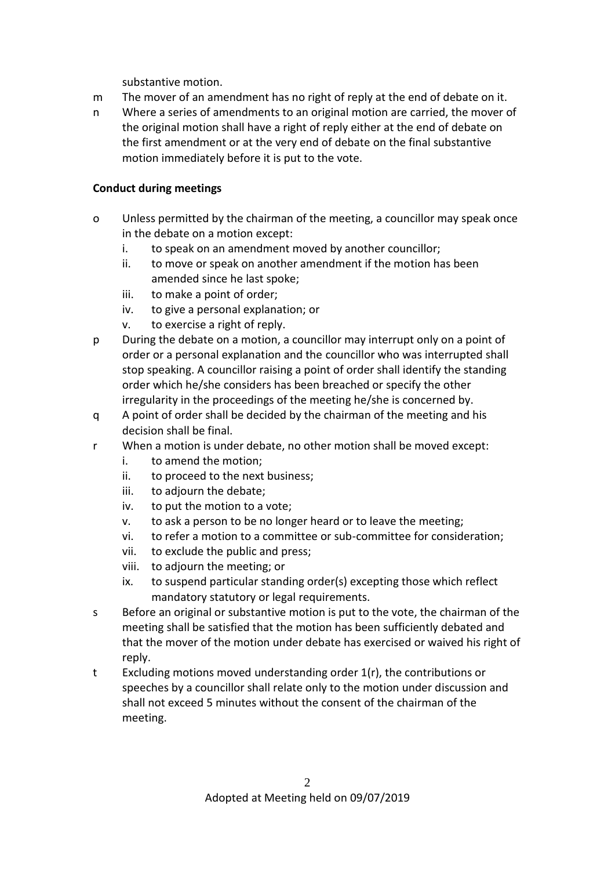substantive motion.

- m The mover of an amendment has no right of reply at the end of debate on it.
- n Where a series of amendments to an original motion are carried, the mover of the original motion shall have a right of reply either at the end of debate on the first amendment or at the very end of debate on the final substantive motion immediately before it is put to the vote.

## **Conduct during meetings**

- o Unless permitted by the chairman of the meeting, a councillor may speak once in the debate on a motion except:
	- i. to speak on an amendment moved by another councillor;
	- ii. to move or speak on another amendment if the motion has been amended since he last spoke;
	- iii. to make a point of order;
	- iv. to give a personal explanation; or
	- v. to exercise a right of reply.
- p During the debate on a motion, a councillor may interrupt only on a point of order or a personal explanation and the councillor who was interrupted shall stop speaking. A councillor raising a point of order shall identify the standing order which he/she considers has been breached or specify the other irregularity in the proceedings of the meeting he/she is concerned by.
- q A point of order shall be decided by the chairman of the meeting and his decision shall be final.
- r When a motion is under debate, no other motion shall be moved except:
	- i. to amend the motion;
	- ii. to proceed to the next business;
	- iii. to adjourn the debate;
	- iv. to put the motion to a vote;
	- v. to ask a person to be no longer heard or to leave the meeting;
	- vi. to refer a motion to a committee or sub-committee for consideration;
	- vii. to exclude the public and press;
	- viii. to adjourn the meeting; or
	- ix. to suspend particular standing order(s) excepting those which reflect mandatory statutory or legal requirements.
- s Before an original or substantive motion is put to the vote, the chairman of the meeting shall be satisfied that the motion has been sufficiently debated and that the mover of the motion under debate has exercised or waived his right of reply.
- t Excluding motions moved understanding order 1(r), the contributions or speeches by a councillor shall relate only to the motion under discussion and shall not exceed 5 minutes without the consent of the chairman of the meeting.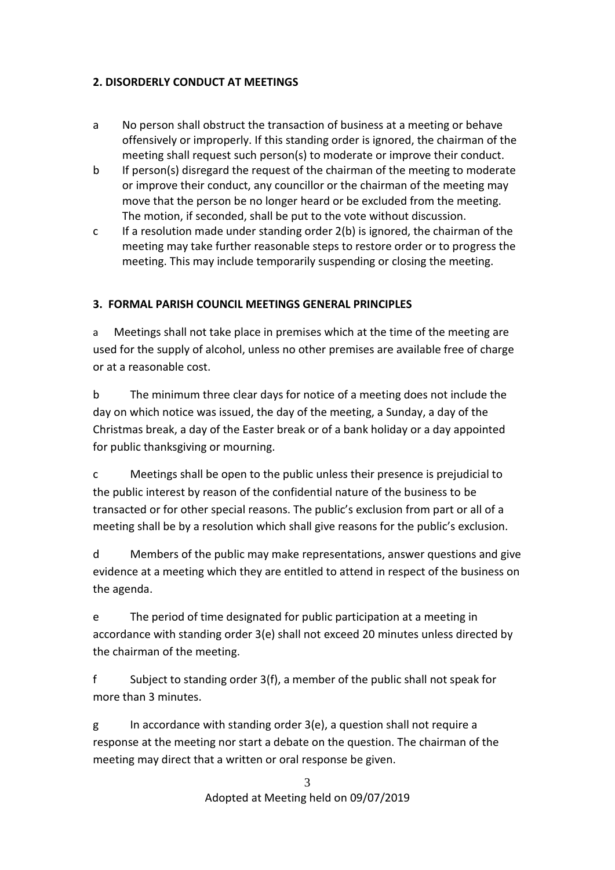## **2. DISORDERLY CONDUCT AT MEETINGS**

- a No person shall obstruct the transaction of business at a meeting or behave offensively or improperly. If this standing order is ignored, the chairman of the meeting shall request such person(s) to moderate or improve their conduct.
- b If person(s) disregard the request of the chairman of the meeting to moderate or improve their conduct, any councillor or the chairman of the meeting may move that the person be no longer heard or be excluded from the meeting. The motion, if seconded, shall be put to the vote without discussion.
- c If a resolution made under standing order 2(b) is ignored, the chairman of the meeting may take further reasonable steps to restore order or to progress the meeting. This may include temporarily suspending or closing the meeting.

# **3. FORMAL PARISH COUNCIL MEETINGS GENERAL PRINCIPLES**

a Meetings shall not take place in premises which at the time of the meeting are used for the supply of alcohol, unless no other premises are available free of charge or at a reasonable cost.

b The minimum three clear days for notice of a meeting does not include the day on which notice was issued, the day of the meeting, a Sunday, a day of the Christmas break, a day of the Easter break or of a bank holiday or a day appointed for public thanksgiving or mourning.

c Meetings shall be open to the public unless their presence is prejudicial to the public interest by reason of the confidential nature of the business to be transacted or for other special reasons. The public's exclusion from part or all of a meeting shall be by a resolution which shall give reasons for the public's exclusion.

d Members of the public may make representations, answer questions and give evidence at a meeting which they are entitled to attend in respect of the business on the agenda.

e The period of time designated for public participation at a meeting in accordance with standing order 3(e) shall not exceed 20 minutes unless directed by the chairman of the meeting.

f Subject to standing order 3(f), a member of the public shall not speak for more than 3 minutes.

g In accordance with standing order 3(e), a question shall not require a response at the meeting nor start a debate on the question. The chairman of the meeting may direct that a written or oral response be given.

> 3 Adopted at Meeting held on 09/07/2019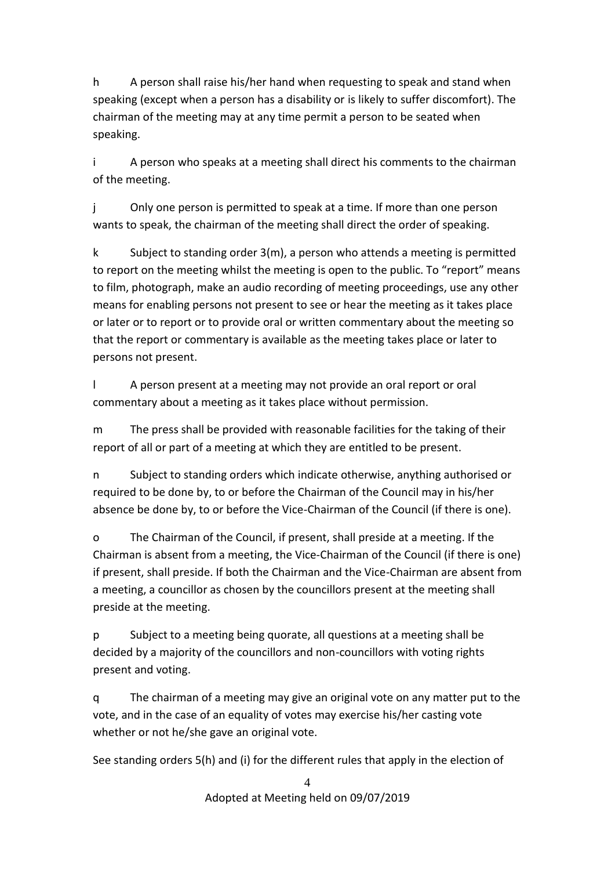h A person shall raise his/her hand when requesting to speak and stand when speaking (except when a person has a disability or is likely to suffer discomfort). The chairman of the meeting may at any time permit a person to be seated when speaking.

i A person who speaks at a meeting shall direct his comments to the chairman of the meeting.

j Only one person is permitted to speak at a time. If more than one person wants to speak, the chairman of the meeting shall direct the order of speaking.

k Subject to standing order 3(m), a person who attends a meeting is permitted to report on the meeting whilst the meeting is open to the public. To "report" means to film, photograph, make an audio recording of meeting proceedings, use any other means for enabling persons not present to see or hear the meeting as it takes place or later or to report or to provide oral or written commentary about the meeting so that the report or commentary is available as the meeting takes place or later to persons not present.

l A person present at a meeting may not provide an oral report or oral commentary about a meeting as it takes place without permission.

m The press shall be provided with reasonable facilities for the taking of their report of all or part of a meeting at which they are entitled to be present.

n Subject to standing orders which indicate otherwise, anything authorised or required to be done by, to or before the Chairman of the Council may in his/her absence be done by, to or before the Vice-Chairman of the Council (if there is one).

o The Chairman of the Council, if present, shall preside at a meeting. If the Chairman is absent from a meeting, the Vice-Chairman of the Council (if there is one) if present, shall preside. If both the Chairman and the Vice-Chairman are absent from a meeting, a councillor as chosen by the councillors present at the meeting shall preside at the meeting.

p Subject to a meeting being quorate, all questions at a meeting shall be decided by a majority of the councillors and non-councillors with voting rights present and voting.

q The chairman of a meeting may give an original vote on any matter put to the vote, and in the case of an equality of votes may exercise his/her casting vote whether or not he/she gave an original vote.

See standing orders 5(h) and (i) for the different rules that apply in the election of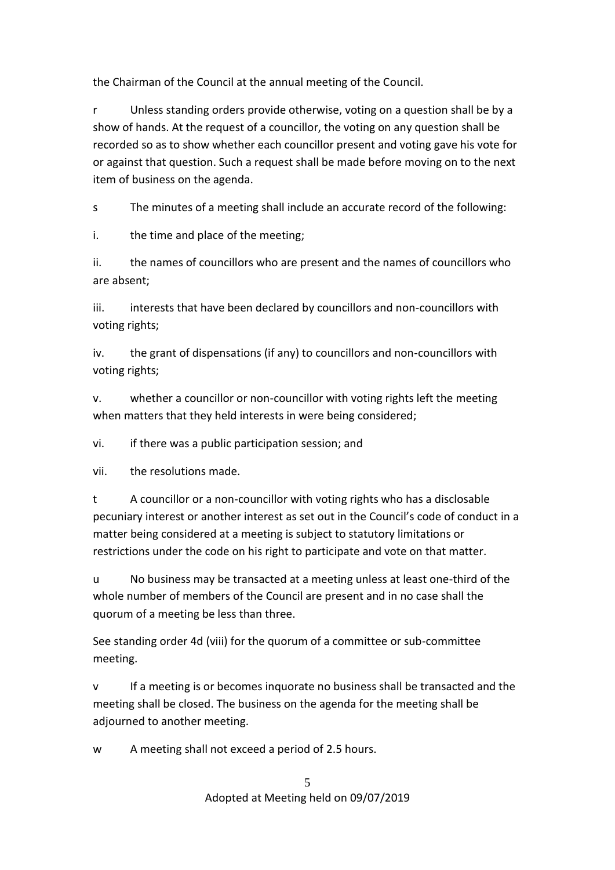the Chairman of the Council at the annual meeting of the Council.

r Unless standing orders provide otherwise, voting on a question shall be by a show of hands. At the request of a councillor, the voting on any question shall be recorded so as to show whether each councillor present and voting gave his vote for or against that question. Such a request shall be made before moving on to the next item of business on the agenda.

s The minutes of a meeting shall include an accurate record of the following:

i. the time and place of the meeting;

ii. the names of councillors who are present and the names of councillors who are absent;

iii. interests that have been declared by councillors and non-councillors with voting rights;

iv. the grant of dispensations (if any) to councillors and non-councillors with voting rights;

v. whether a councillor or non-councillor with voting rights left the meeting when matters that they held interests in were being considered;

vi. if there was a public participation session; and

vii. the resolutions made.

t A councillor or a non-councillor with voting rights who has a disclosable pecuniary interest or another interest as set out in the Council's code of conduct in a matter being considered at a meeting is subject to statutory limitations or restrictions under the code on his right to participate and vote on that matter.

u No business may be transacted at a meeting unless at least one-third of the whole number of members of the Council are present and in no case shall the quorum of a meeting be less than three.

See standing order 4d (viii) for the quorum of a committee or sub-committee meeting.

v If a meeting is or becomes inquorate no business shall be transacted and the meeting shall be closed. The business on the agenda for the meeting shall be adjourned to another meeting.

w A meeting shall not exceed a period of 2.5 hours.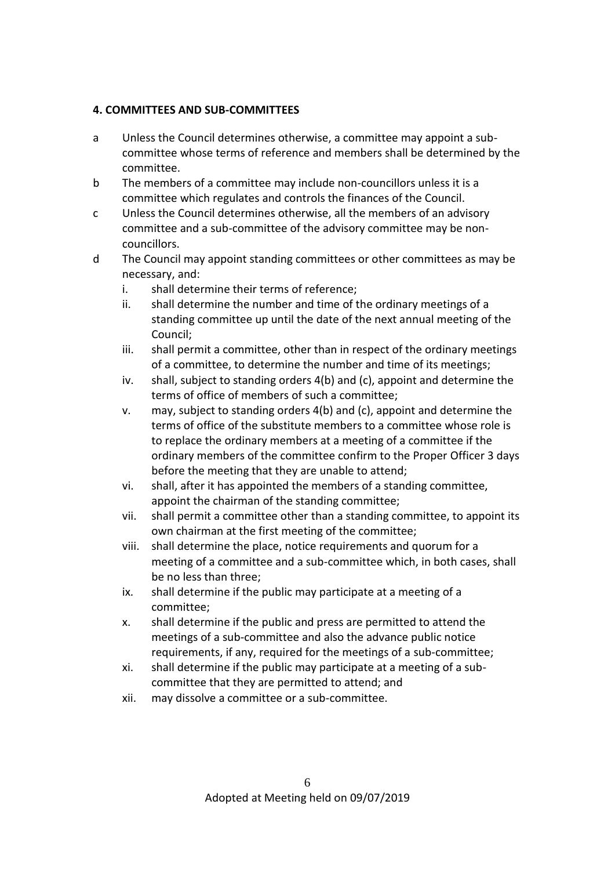## **4. COMMITTEES AND SUB-COMMITTEES**

- a Unless the Council determines otherwise, a committee may appoint a subcommittee whose terms of reference and members shall be determined by the committee.
- b The members of a committee may include non-councillors unless it is a committee which regulates and controls the finances of the Council.
- c Unless the Council determines otherwise, all the members of an advisory committee and a sub-committee of the advisory committee may be noncouncillors.
- d The Council may appoint standing committees or other committees as may be necessary, and:
	- i. shall determine their terms of reference;
	- ii. shall determine the number and time of the ordinary meetings of a standing committee up until the date of the next annual meeting of the Council;
	- iii. shall permit a committee, other than in respect of the ordinary meetings of a committee, to determine the number and time of its meetings;
	- iv. shall, subject to standing orders 4(b) and (c), appoint and determine the terms of office of members of such a committee;
	- v. may, subject to standing orders 4(b) and (c), appoint and determine the terms of office of the substitute members to a committee whose role is to replace the ordinary members at a meeting of a committee if the ordinary members of the committee confirm to the Proper Officer 3 days before the meeting that they are unable to attend;
	- vi. shall, after it has appointed the members of a standing committee, appoint the chairman of the standing committee;
	- vii. shall permit a committee other than a standing committee, to appoint its own chairman at the first meeting of the committee;
	- viii. shall determine the place, notice requirements and quorum for a meeting of a committee and a sub-committee which, in both cases, shall be no less than three;
	- ix. shall determine if the public may participate at a meeting of a committee;
	- x. shall determine if the public and press are permitted to attend the meetings of a sub-committee and also the advance public notice requirements, if any, required for the meetings of a sub-committee;
	- xi. shall determine if the public may participate at a meeting of a subcommittee that they are permitted to attend; and
	- xii. may dissolve a committee or a sub-committee.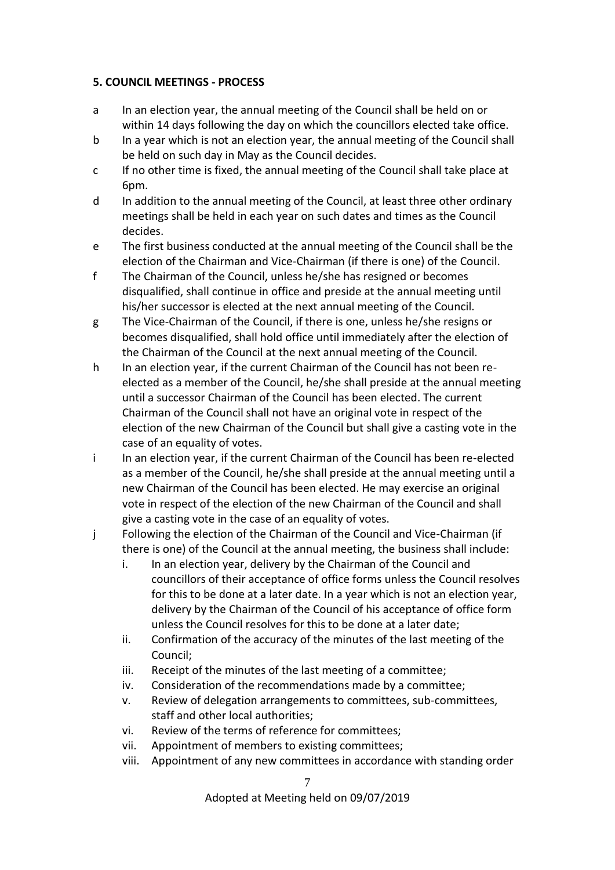### **5. COUNCIL MEETINGS - PROCESS**

- a In an election year, the annual meeting of the Council shall be held on or within 14 days following the day on which the councillors elected take office.
- b In a year which is not an election year, the annual meeting of the Council shall be held on such day in May as the Council decides.
- c If no other time is fixed, the annual meeting of the Council shall take place at 6pm.
- d In addition to the annual meeting of the Council, at least three other ordinary meetings shall be held in each year on such dates and times as the Council decides.
- e The first business conducted at the annual meeting of the Council shall be the election of the Chairman and Vice-Chairman (if there is one) of the Council.
- f The Chairman of the Council, unless he/she has resigned or becomes disqualified, shall continue in office and preside at the annual meeting until his/her successor is elected at the next annual meeting of the Council.
- g The Vice-Chairman of the Council, if there is one, unless he/she resigns or becomes disqualified, shall hold office until immediately after the election of the Chairman of the Council at the next annual meeting of the Council.
- h In an election year, if the current Chairman of the Council has not been reelected as a member of the Council, he/she shall preside at the annual meeting until a successor Chairman of the Council has been elected. The current Chairman of the Council shall not have an original vote in respect of the election of the new Chairman of the Council but shall give a casting vote in the case of an equality of votes.
- i In an election year, if the current Chairman of the Council has been re-elected as a member of the Council, he/she shall preside at the annual meeting until a new Chairman of the Council has been elected. He may exercise an original vote in respect of the election of the new Chairman of the Council and shall give a casting vote in the case of an equality of votes.
- j Following the election of the Chairman of the Council and Vice-Chairman (if there is one) of the Council at the annual meeting, the business shall include:
	- i. In an election year, delivery by the Chairman of the Council and councillors of their acceptance of office forms unless the Council resolves for this to be done at a later date. In a year which is not an election year, delivery by the Chairman of the Council of his acceptance of office form unless the Council resolves for this to be done at a later date;
	- ii. Confirmation of the accuracy of the minutes of the last meeting of the Council;
	- iii. Receipt of the minutes of the last meeting of a committee;
	- iv. Consideration of the recommendations made by a committee;
	- v. Review of delegation arrangements to committees, sub-committees, staff and other local authorities;
	- vi. Review of the terms of reference for committees;
	- vii. Appointment of members to existing committees;
	- viii. Appointment of any new committees in accordance with standing order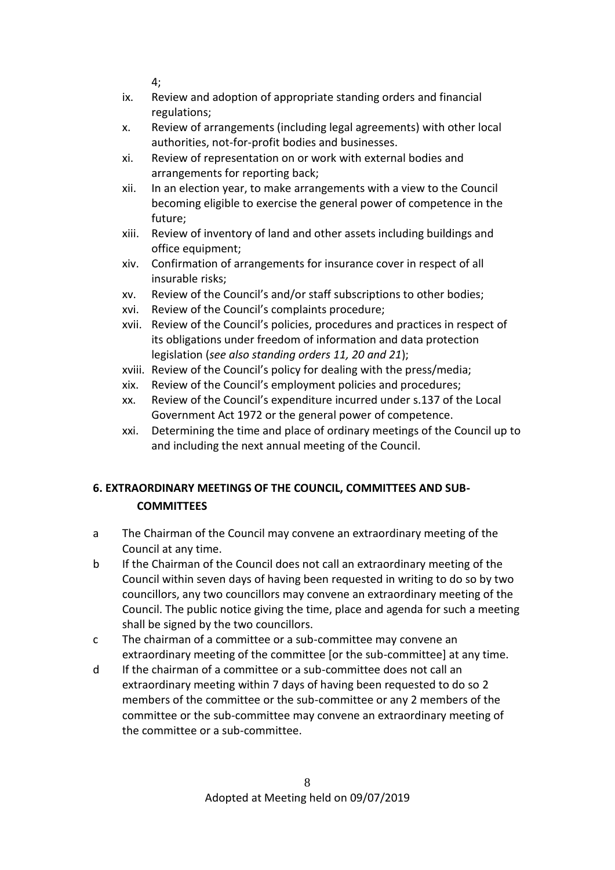4;

- ix. Review and adoption of appropriate standing orders and financial regulations;
- x. Review of arrangements (including legal agreements) with other local authorities, not-for-profit bodies and businesses.
- xi. Review of representation on or work with external bodies and arrangements for reporting back;
- xii. In an election year, to make arrangements with a view to the Council becoming eligible to exercise the general power of competence in the future;
- xiii. Review of inventory of land and other assets including buildings and office equipment;
- xiv. Confirmation of arrangements for insurance cover in respect of all insurable risks;
- xv. Review of the Council's and/or staff subscriptions to other bodies;
- xvi. Review of the Council's complaints procedure;
- xvii. Review of the Council's policies, procedures and practices in respect of its obligations under freedom of information and data protection legislation (*see also standing orders 11, 20 and 21*);
- xviii. Review of the Council's policy for dealing with the press/media;
- xix. Review of the Council's employment policies and procedures;
- xx. Review of the Council's expenditure incurred under s.137 of the Local Government Act 1972 or the general power of competence.
- xxi. Determining the time and place of ordinary meetings of the Council up to and including the next annual meeting of the Council.

# **6. EXTRAORDINARY MEETINGS OF THE COUNCIL, COMMITTEES AND SUB-COMMITTEES**

- a The Chairman of the Council may convene an extraordinary meeting of the Council at any time.
- b If the Chairman of the Council does not call an extraordinary meeting of the Council within seven days of having been requested in writing to do so by two councillors, any two councillors may convene an extraordinary meeting of the Council. The public notice giving the time, place and agenda for such a meeting shall be signed by the two councillors.
- c The chairman of a committee or a sub-committee may convene an extraordinary meeting of the committee [or the sub-committee] at any time.
- d If the chairman of a committee or a sub-committee does not call an extraordinary meeting within 7 days of having been requested to do so 2 members of the committee or the sub-committee or any 2 members of the committee or the sub-committee may convene an extraordinary meeting of the committee or a sub-committee.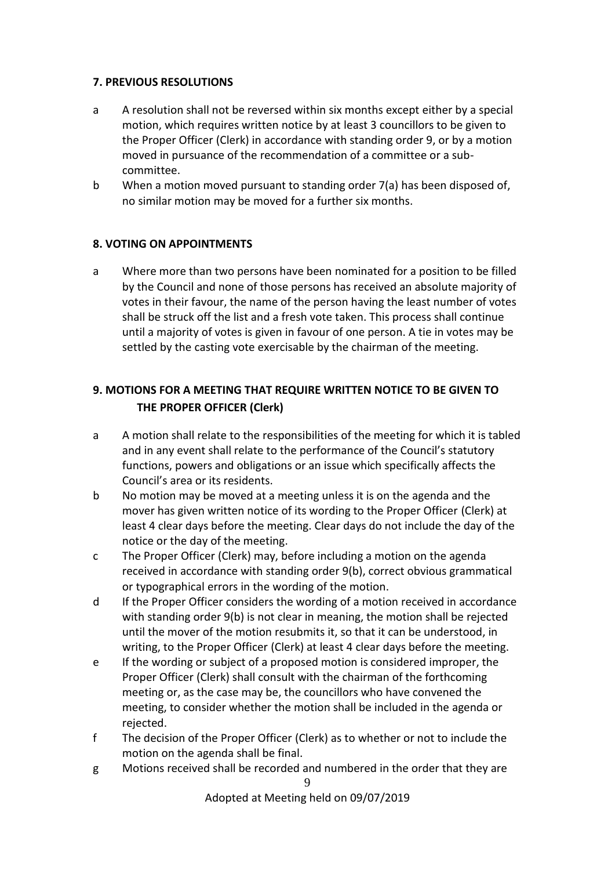## **7. PREVIOUS RESOLUTIONS**

- a A resolution shall not be reversed within six months except either by a special motion, which requires written notice by at least 3 councillors to be given to the Proper Officer (Clerk) in accordance with standing order 9, or by a motion moved in pursuance of the recommendation of a committee or a subcommittee.
- b When a motion moved pursuant to standing order 7(a) has been disposed of, no similar motion may be moved for a further six months.

## **8. VOTING ON APPOINTMENTS**

a Where more than two persons have been nominated for a position to be filled by the Council and none of those persons has received an absolute majority of votes in their favour, the name of the person having the least number of votes shall be struck off the list and a fresh vote taken. This process shall continue until a majority of votes is given in favour of one person. A tie in votes may be settled by the casting vote exercisable by the chairman of the meeting.

# **9. MOTIONS FOR A MEETING THAT REQUIRE WRITTEN NOTICE TO BE GIVEN TO THE PROPER OFFICER (Clerk)**

- a A motion shall relate to the responsibilities of the meeting for which it is tabled and in any event shall relate to the performance of the Council's statutory functions, powers and obligations or an issue which specifically affects the Council's area or its residents.
- b No motion may be moved at a meeting unless it is on the agenda and the mover has given written notice of its wording to the Proper Officer (Clerk) at least 4 clear days before the meeting. Clear days do not include the day of the notice or the day of the meeting.
- c The Proper Officer (Clerk) may, before including a motion on the agenda received in accordance with standing order 9(b), correct obvious grammatical or typographical errors in the wording of the motion.
- d If the Proper Officer considers the wording of a motion received in accordance with standing order 9(b) is not clear in meaning, the motion shall be rejected until the mover of the motion resubmits it, so that it can be understood, in writing, to the Proper Officer (Clerk) at least 4 clear days before the meeting.
- e If the wording or subject of a proposed motion is considered improper, the Proper Officer (Clerk) shall consult with the chairman of the forthcoming meeting or, as the case may be, the councillors who have convened the meeting, to consider whether the motion shall be included in the agenda or rejected.
- f The decision of the Proper Officer (Clerk) as to whether or not to include the motion on the agenda shall be final.
- 9 g Motions received shall be recorded and numbered in the order that they are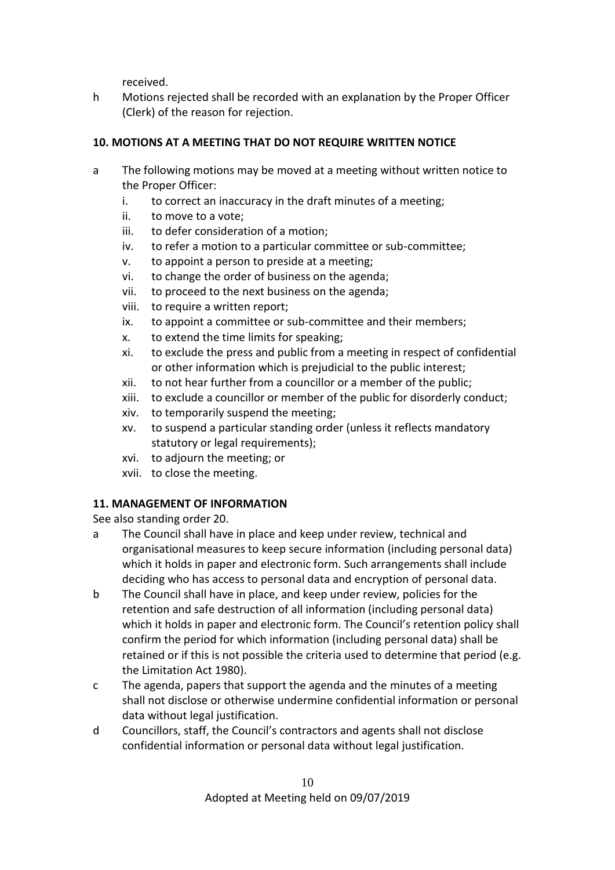received.

h Motions rejected shall be recorded with an explanation by the Proper Officer (Clerk) of the reason for rejection.

# **10. MOTIONS AT A MEETING THAT DO NOT REQUIRE WRITTEN NOTICE**

- a The following motions may be moved at a meeting without written notice to the Proper Officer:
	- i. to correct an inaccuracy in the draft minutes of a meeting;
	- ii. to move to a vote;
	- iii. to defer consideration of a motion;
	- iv. to refer a motion to a particular committee or sub-committee;
	- v. to appoint a person to preside at a meeting;
	- vi. to change the order of business on the agenda;
	- vii. to proceed to the next business on the agenda;
	- viii. to require a written report;
	- ix. to appoint a committee or sub-committee and their members;
	- x. to extend the time limits for speaking;
	- xi. to exclude the press and public from a meeting in respect of confidential or other information which is prejudicial to the public interest;
	- xii. to not hear further from a councillor or a member of the public;
	- xiii. to exclude a councillor or member of the public for disorderly conduct;
	- xiv. to temporarily suspend the meeting;
	- xv. to suspend a particular standing order (unless it reflects mandatory statutory or legal requirements);
	- xvi. to adjourn the meeting; or
	- xvii. to close the meeting.

# **11. MANAGEMENT OF INFORMATION**

See also standing order 20.

- a The Council shall have in place and keep under review, technical and organisational measures to keep secure information (including personal data) which it holds in paper and electronic form. Such arrangements shall include deciding who has access to personal data and encryption of personal data.
- b The Council shall have in place, and keep under review, policies for the retention and safe destruction of all information (including personal data) which it holds in paper and electronic form. The Council's retention policy shall confirm the period for which information (including personal data) shall be retained or if this is not possible the criteria used to determine that period (e.g. the Limitation Act 1980).
- c The agenda, papers that support the agenda and the minutes of a meeting shall not disclose or otherwise undermine confidential information or personal data without legal justification.
- d Councillors, staff, the Council's contractors and agents shall not disclose confidential information or personal data without legal justification.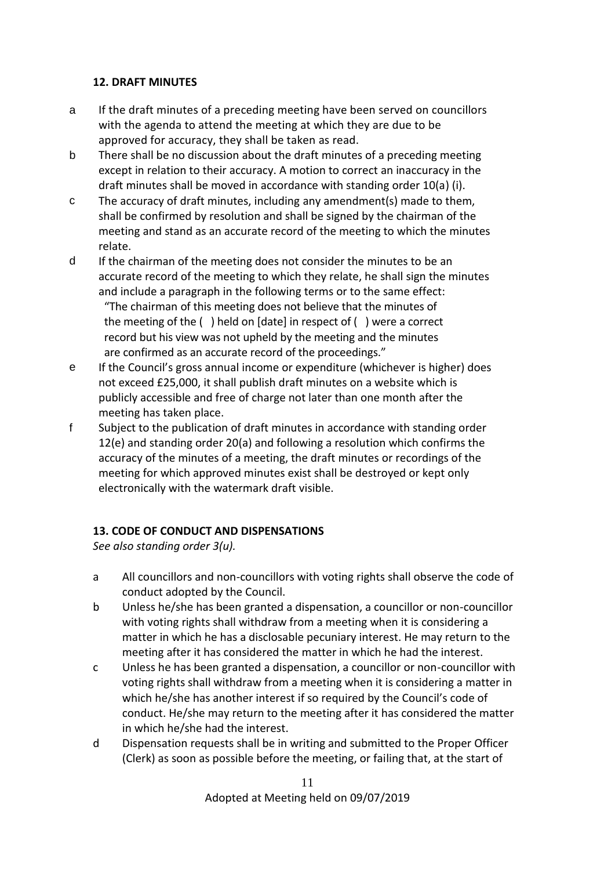## **12. DRAFT MINUTES**

- a If the draft minutes of a preceding meeting have been served on councillors with the agenda to attend the meeting at which they are due to be approved for accuracy, they shall be taken as read.
- b There shall be no discussion about the draft minutes of a preceding meeting except in relation to their accuracy. A motion to correct an inaccuracy in the draft minutes shall be moved in accordance with standing order 10(a) (i).
- c The accuracy of draft minutes, including any amendment(s) made to them, shall be confirmed by resolution and shall be signed by the chairman of the meeting and stand as an accurate record of the meeting to which the minutes relate.
- d If the chairman of the meeting does not consider the minutes to be an accurate record of the meeting to which they relate, he shall sign the minutes and include a paragraph in the following terms or to the same effect: "The chairman of this meeting does not believe that the minutes of the meeting of the ( ) held on [date] in respect of ( ) were a correct record but his view was not upheld by the meeting and the minutes are confirmed as an accurate record of the proceedings."
- e If the Council's gross annual income or expenditure (whichever is higher) does not exceed £25,000, it shall publish draft minutes on a website which is publicly accessible and free of charge not later than one month after the meeting has taken place.
- f Subject to the publication of draft minutes in accordance with standing order 12(e) and standing order 20(a) and following a resolution which confirms the accuracy of the minutes of a meeting, the draft minutes or recordings of the meeting for which approved minutes exist shall be destroyed or kept only electronically with the watermark draft visible.

# **13. CODE OF CONDUCT AND DISPENSATIONS**

*See also standing order 3(u).* 

- a All councillors and non-councillors with voting rights shall observe the code of conduct adopted by the Council.
- b Unless he/she has been granted a dispensation, a councillor or non-councillor with voting rights shall withdraw from a meeting when it is considering a matter in which he has a disclosable pecuniary interest. He may return to the meeting after it has considered the matter in which he had the interest.
- c Unless he has been granted a dispensation, a councillor or non-councillor with voting rights shall withdraw from a meeting when it is considering a matter in which he/she has another interest if so required by the Council's code of conduct. He/she may return to the meeting after it has considered the matter in which he/she had the interest.
- d Dispensation requests shall be in writing and submitted to the Proper Officer (Clerk) as soon as possible before the meeting, or failing that, at the start of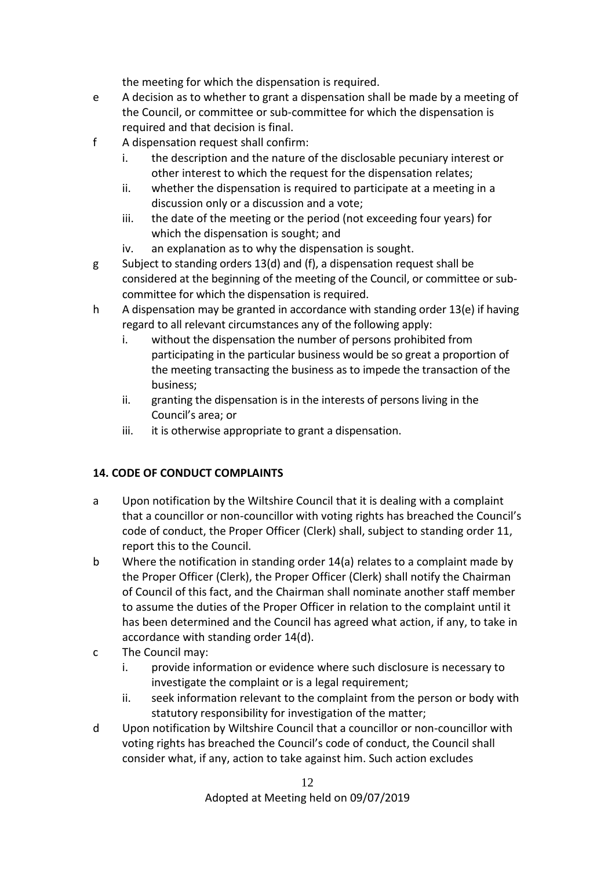the meeting for which the dispensation is required.

- e A decision as to whether to grant a dispensation shall be made by a meeting of the Council, or committee or sub-committee for which the dispensation is required and that decision is final.
- f A dispensation request shall confirm:
	- i. the description and the nature of the disclosable pecuniary interest or other interest to which the request for the dispensation relates;
	- ii. whether the dispensation is required to participate at a meeting in a discussion only or a discussion and a vote;
	- iii. the date of the meeting or the period (not exceeding four years) for which the dispensation is sought; and
	- iv. an explanation as to why the dispensation is sought.
- g Subject to standing orders 13(d) and (f), a dispensation request shall be considered at the beginning of the meeting of the Council, or committee or subcommittee for which the dispensation is required.
- h A dispensation may be granted in accordance with standing order 13(e) if having regard to all relevant circumstances any of the following apply:
	- i. without the dispensation the number of persons prohibited from participating in the particular business would be so great a proportion of the meeting transacting the business as to impede the transaction of the business;
	- ii. granting the dispensation is in the interests of persons living in the Council's area; or
	- iii. it is otherwise appropriate to grant a dispensation.

# **14. CODE OF CONDUCT COMPLAINTS**

- a Upon notification by the Wiltshire Council that it is dealing with a complaint that a councillor or non-councillor with voting rights has breached the Council's code of conduct, the Proper Officer (Clerk) shall, subject to standing order 11, report this to the Council.
- b Where the notification in standing order 14(a) relates to a complaint made by the Proper Officer (Clerk), the Proper Officer (Clerk) shall notify the Chairman of Council of this fact, and the Chairman shall nominate another staff member to assume the duties of the Proper Officer in relation to the complaint until it has been determined and the Council has agreed what action, if any, to take in accordance with standing order 14(d).
- c The Council may:
	- i. provide information or evidence where such disclosure is necessary to investigate the complaint or is a legal requirement;
	- ii. seek information relevant to the complaint from the person or body with statutory responsibility for investigation of the matter;
- d Upon notification by Wiltshire Council that a councillor or non-councillor with voting rights has breached the Council's code of conduct, the Council shall consider what, if any, action to take against him. Such action excludes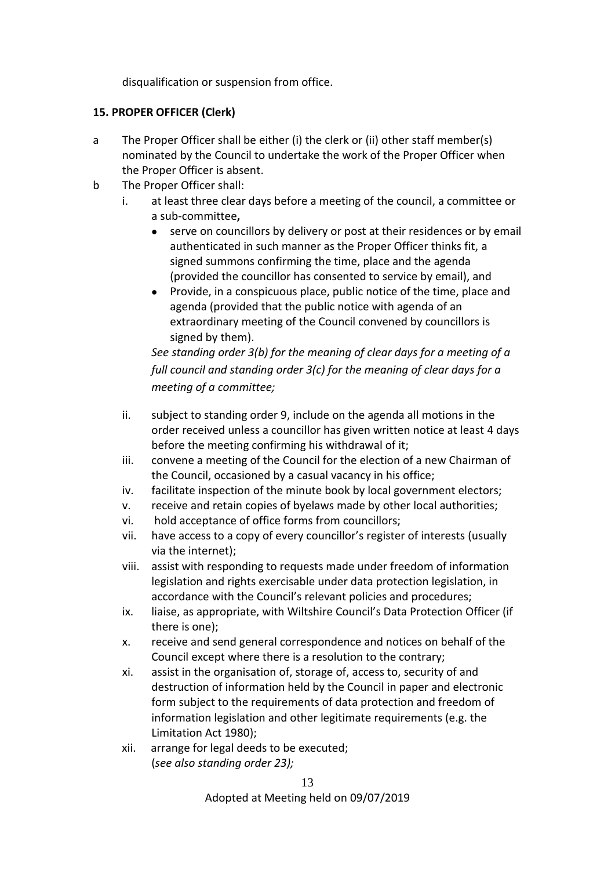disqualification or suspension from office.

## **15. PROPER OFFICER (Clerk)**

- a The Proper Officer shall be either (i) the clerk or (ii) other staff member(s) nominated by the Council to undertake the work of the Proper Officer when the Proper Officer is absent.
- b The Proper Officer shall:
	- i. at least three clear days before a meeting of the council, a committee or a sub-committee**,**
		- serve on councillors by delivery or post at their residences or by email authenticated in such manner as the Proper Officer thinks fit, a signed summons confirming the time, place and the agenda (provided the councillor has consented to service by email), and
		- Provide, in a conspicuous place, public notice of the time, place and agenda (provided that the public notice with agenda of an extraordinary meeting of the Council convened by councillors is signed by them).

*See standing order 3(b) for the meaning of clear days for a meeting of a full council and standing order 3(c) for the meaning of clear days for a meeting of a committee;*

- ii. subject to standing order 9, include on the agenda all motions in the order received unless a councillor has given written notice at least 4 days before the meeting confirming his withdrawal of it;
- iii. convene a meeting of the Council for the election of a new Chairman of the Council, occasioned by a casual vacancy in his office;
- iv. facilitate inspection of the minute book by local government electors;
- v. receive and retain copies of byelaws made by other local authorities;
- vi. hold acceptance of office forms from councillors;
- vii. have access to a copy of every councillor's register of interests (usually via the internet);
- viii. assist with responding to requests made under freedom of information legislation and rights exercisable under data protection legislation, in accordance with the Council's relevant policies and procedures;
- ix. liaise, as appropriate, with Wiltshire Council's Data Protection Officer (if there is one);
- x. receive and send general correspondence and notices on behalf of the Council except where there is a resolution to the contrary;
- xi. assist in the organisation of, storage of, access to, security of and destruction of information held by the Council in paper and electronic form subject to the requirements of data protection and freedom of information legislation and other legitimate requirements (e.g. the Limitation Act 1980);
- xii. arrange for legal deeds to be executed; (*see also standing order 23);*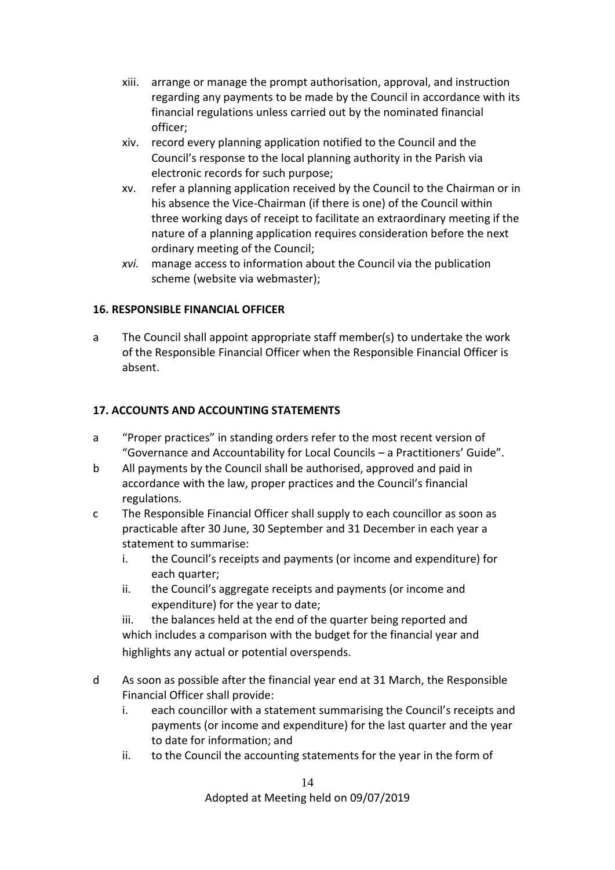- xiii. arrange or manage the prompt authorisation, approval, and instruction regarding any payments to be made by the Council in accordance with its financial regulations unless carried out by the nominated financial officer;
- xiv. record every planning application notified to the Council and the Council's response to the local planning authority in the Parish via electronic records for such purpose;
- xv. refer a planning application received by the Council to the Chairman or in his absence the Vice-Chairman (if there is one) of the Council within three working days of receipt to facilitate an extraordinary meeting if the nature of a planning application requires consideration before the next ordinary meeting of the Council;
- *xvi.* manage access to information about the Council via the publication scheme (website via webmaster);

## **16. RESPONSIBLE FINANCIAL OFFICER**

a The Council shall appoint appropriate staff member(s) to undertake the work of the Responsible Financial Officer when the Responsible Financial Officer is absent.

### **17. ACCOUNTS AND ACCOUNTING STATEMENTS**

- a "Proper practices" in standing orders refer to the most recent version of "Governance and Accountability for Local Councils – a Practitioners' Guide".
- b All payments by the Council shall be authorised, approved and paid in accordance with the law, proper practices and the Council's financial regulations.
- c The Responsible Financial Officer shall supply to each councillor as soon as practicable after 30 June, 30 September and 31 December in each year a statement to summarise:
	- i. the Council's receipts and payments (or income and expenditure) for each quarter;
	- ii. the Council's aggregate receipts and payments (or income and expenditure) for the year to date;

iii. the balances held at the end of the quarter being reported and which includes a comparison with the budget for the financial year and highlights any actual or potential overspends.

- d As soon as possible after the financial year end at 31 March, the Responsible Financial Officer shall provide:
	- i. each councillor with a statement summarising the Council's receipts and payments (or income and expenditure) for the last quarter and the year to date for information; and
	- ii. to the Council the accounting statements for the year in the form of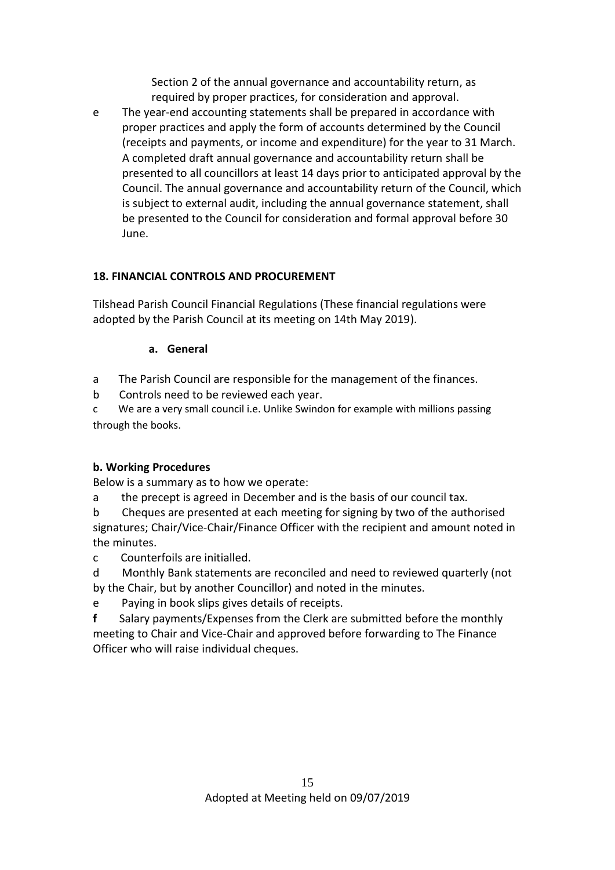Section 2 of the annual governance and accountability return, as required by proper practices, for consideration and approval.

e The year-end accounting statements shall be prepared in accordance with proper practices and apply the form of accounts determined by the Council (receipts and payments, or income and expenditure) for the year to 31 March. A completed draft annual governance and accountability return shall be presented to all councillors at least 14 days prior to anticipated approval by the Council. The annual governance and accountability return of the Council, which is subject to external audit, including the annual governance statement, shall be presented to the Council for consideration and formal approval before 30 June.

# **18. FINANCIAL CONTROLS AND PROCUREMENT**

Tilshead Parish Council Financial Regulations (These financial regulations were adopted by the Parish Council at its meeting on 14th May 2019).

## **a. General**

- a The Parish Council are responsible for the management of the finances.
- b Controls need to be reviewed each year.

c We are a very small council i.e. Unlike Swindon for example with millions passing through the books.

# **b. Working Procedures**

Below is a summary as to how we operate:

a the precept is agreed in December and is the basis of our council tax.

b Cheques are presented at each meeting for signing by two of the authorised signatures; Chair/Vice-Chair/Finance Officer with the recipient and amount noted in the minutes.

c Counterfoils are initialled.

- d Monthly Bank statements are reconciled and need to reviewed quarterly (not by the Chair, but by another Councillor) and noted in the minutes.
- e Paying in book slips gives details of receipts.

**f** Salary payments/Expenses from the Clerk are submitted before the monthly meeting to Chair and Vice-Chair and approved before forwarding to The Finance Officer who will raise individual cheques.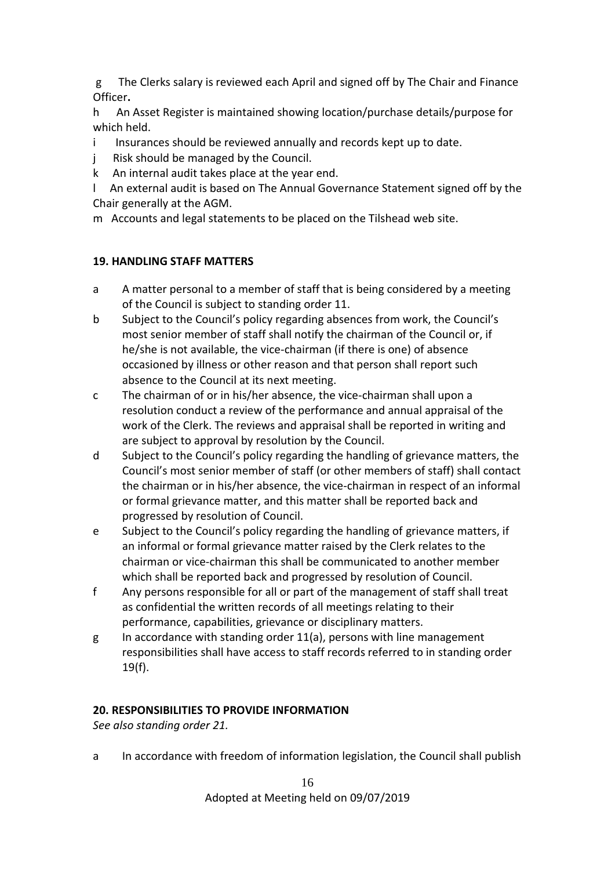g The Clerks salary is reviewed each April and signed off by The Chair and Finance Officer**.**

h An Asset Register is maintained showing location/purchase details/purpose for which held.

- i Insurances should be reviewed annually and records kept up to date.
- j Risk should be managed by the Council.
- k An internal audit takes place at the year end.

l An external audit is based on The Annual Governance Statement signed off by the Chair generally at the AGM.

m Accounts and legal statements to be placed on the Tilshead web site.

## **19. HANDLING STAFF MATTERS**

- a A matter personal to a member of staff that is being considered by a meeting of the Council is subject to standing order 11.
- b Subject to the Council's policy regarding absences from work, the Council's most senior member of staff shall notify the chairman of the Council or, if he/she is not available, the vice-chairman (if there is one) of absence occasioned by illness or other reason and that person shall report such absence to the Council at its next meeting.
- c The chairman of or in his/her absence, the vice-chairman shall upon a resolution conduct a review of the performance and annual appraisal of the work of the Clerk. The reviews and appraisal shall be reported in writing and are subject to approval by resolution by the Council.
- d Subject to the Council's policy regarding the handling of grievance matters, the Council's most senior member of staff (or other members of staff) shall contact the chairman or in his/her absence, the vice-chairman in respect of an informal or formal grievance matter, and this matter shall be reported back and progressed by resolution of Council.
- e Subject to the Council's policy regarding the handling of grievance matters, if an informal or formal grievance matter raised by the Clerk relates to the chairman or vice-chairman this shall be communicated to another member which shall be reported back and progressed by resolution of Council.
- f Any persons responsible for all or part of the management of staff shall treat as confidential the written records of all meetings relating to their performance, capabilities, grievance or disciplinary matters.
- g In accordance with standing order 11(a), persons with line management responsibilities shall have access to staff records referred to in standing order  $19(f)$ .

## **20. RESPONSIBILITIES TO PROVIDE INFORMATION**

*See also standing order 21.*

a In accordance with freedom of information legislation, the Council shall publish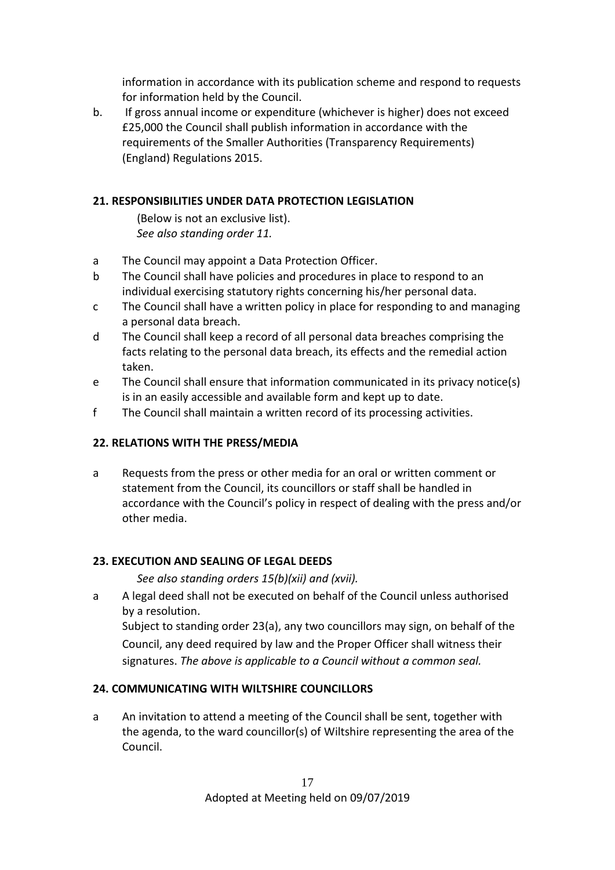information in accordance with its publication scheme and respond to requests for information held by the Council.

b. If gross annual income or expenditure (whichever is higher) does not exceed £25,000 the Council shall publish information in accordance with the requirements of the Smaller Authorities (Transparency Requirements) (England) Regulations 2015.

## **21. RESPONSIBILITIES UNDER DATA PROTECTION LEGISLATION**

(Below is not an exclusive list). *See also standing order 11.*

- a The Council may appoint a Data Protection Officer.
- b The Council shall have policies and procedures in place to respond to an individual exercising statutory rights concerning his/her personal data.
- c The Council shall have a written policy in place for responding to and managing a personal data breach.
- d The Council shall keep a record of all personal data breaches comprising the facts relating to the personal data breach, its effects and the remedial action taken.
- e The Council shall ensure that information communicated in its privacy notice(s) is in an easily accessible and available form and kept up to date.
- f The Council shall maintain a written record of its processing activities.

# **22. RELATIONS WITH THE PRESS/MEDIA**

a Requests from the press or other media for an oral or written comment or statement from the Council, its councillors or staff shall be handled in accordance with the Council's policy in respect of dealing with the press and/or other media.

## **23. EXECUTION AND SEALING OF LEGAL DEEDS**

*See also standing orders 15(b)(xii) and (xvii).*

a A legal deed shall not be executed on behalf of the Council unless authorised by a resolution. Subject to standing order 23(a), any two councillors may sign, on behalf of the Council, any deed required by law and the Proper Officer shall witness their signatures. *The above is applicable to a Council without a common seal.*

## **24. COMMUNICATING WITH WILTSHIRE COUNCILLORS**

a An invitation to attend a meeting of the Council shall be sent, together with the agenda, to the ward councillor(s) of Wiltshire representing the area of the Council.